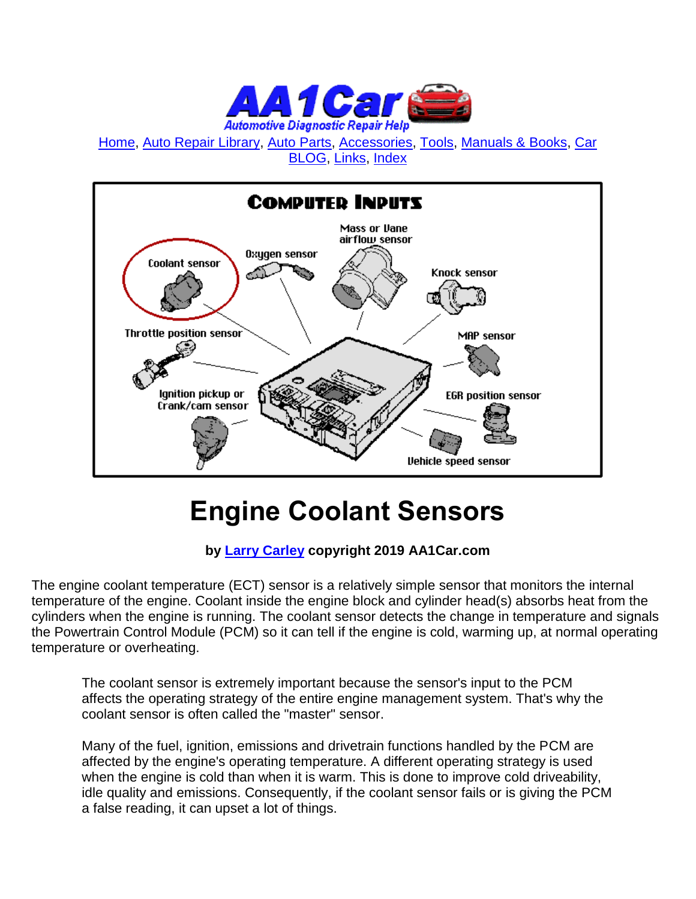

[Home,](http://www.aa1car.com/index.html) [Auto Repair Library,](http://www.aa1car.com/library.htm) [Auto Parts,](http://www.aa1car.com/links_parts.htm) [Accessories,](http://www.aa1car.com/links_accessories.htm) [Tools,](http://www.aa1car.com/links_tools.htm) [Manuals & Books,](http://www.aa1car.com/links_books.htm) [Car](http://www.aa1car.com/blog/blog.htm)  [BLOG,](http://www.aa1car.com/blog/blog.htm) [Links,](http://www.aa1car.com/links.htm) [Index](http://www.aa1car.com/index_alphabetical.htm)



# **Engine Coolant Sensors**

#### **by [Larry Carley](https://www.aa1car.com/larrypage/larrycarley_photos.htm) copyright 2019 AA1Car.com**

The engine coolant temperature (ECT) sensor is a relatively simple sensor that monitors the internal temperature of the engine. Coolant inside the engine block and cylinder head(s) absorbs heat from the cylinders when the engine is running. The coolant sensor detects the change in temperature and signals the Powertrain Control Module (PCM) so it can tell if the engine is cold, warming up, at normal operating temperature or overheating.

The coolant sensor is extremely important because the sensor's input to the PCM affects the operating strategy of the entire engine management system. That's why the coolant sensor is often called the "master" sensor.

Many of the fuel, ignition, emissions and drivetrain functions handled by the PCM are affected by the engine's operating temperature. A different operating strategy is used when the engine is cold than when it is warm. This is done to improve cold driveability, idle quality and emissions. Consequently, if the coolant sensor fails or is giving the PCM a false reading, it can upset a lot of things.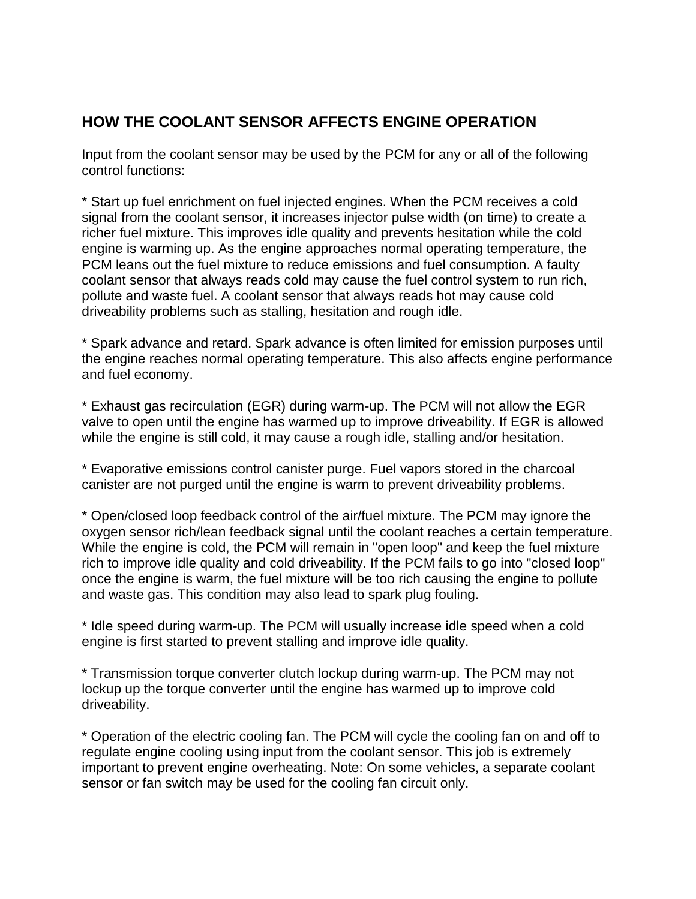#### **HOW THE COOLANT SENSOR AFFECTS ENGINE OPERATION**

Input from the coolant sensor may be used by the PCM for any or all of the following control functions:

\* Start up fuel enrichment on fuel injected engines. When the PCM receives a cold signal from the coolant sensor, it increases injector pulse width (on time) to create a richer fuel mixture. This improves idle quality and prevents hesitation while the cold engine is warming up. As the engine approaches normal operating temperature, the PCM leans out the fuel mixture to reduce emissions and fuel consumption. A faulty coolant sensor that always reads cold may cause the fuel control system to run rich, pollute and waste fuel. A coolant sensor that always reads hot may cause cold driveability problems such as stalling, hesitation and rough idle.

\* Spark advance and retard. Spark advance is often limited for emission purposes until the engine reaches normal operating temperature. This also affects engine performance and fuel economy.

\* Exhaust gas recirculation (EGR) during warm-up. The PCM will not allow the EGR valve to open until the engine has warmed up to improve driveability. If EGR is allowed while the engine is still cold, it may cause a rough idle, stalling and/or hesitation.

\* Evaporative emissions control canister purge. Fuel vapors stored in the charcoal canister are not purged until the engine is warm to prevent driveability problems.

\* Open/closed loop feedback control of the air/fuel mixture. The PCM may ignore the oxygen sensor rich/lean feedback signal until the coolant reaches a certain temperature. While the engine is cold, the PCM will remain in "open loop" and keep the fuel mixture rich to improve idle quality and cold driveability. If the PCM fails to go into "closed loop" once the engine is warm, the fuel mixture will be too rich causing the engine to pollute and waste gas. This condition may also lead to spark plug fouling.

\* Idle speed during warm-up. The PCM will usually increase idle speed when a cold engine is first started to prevent stalling and improve idle quality.

\* Transmission torque converter clutch lockup during warm-up. The PCM may not lockup up the torque converter until the engine has warmed up to improve cold driveability.

\* Operation of the electric cooling fan. The PCM will cycle the cooling fan on and off to regulate engine cooling using input from the coolant sensor. This job is extremely important to prevent engine overheating. Note: On some vehicles, a separate coolant sensor or fan switch may be used for the cooling fan circuit only.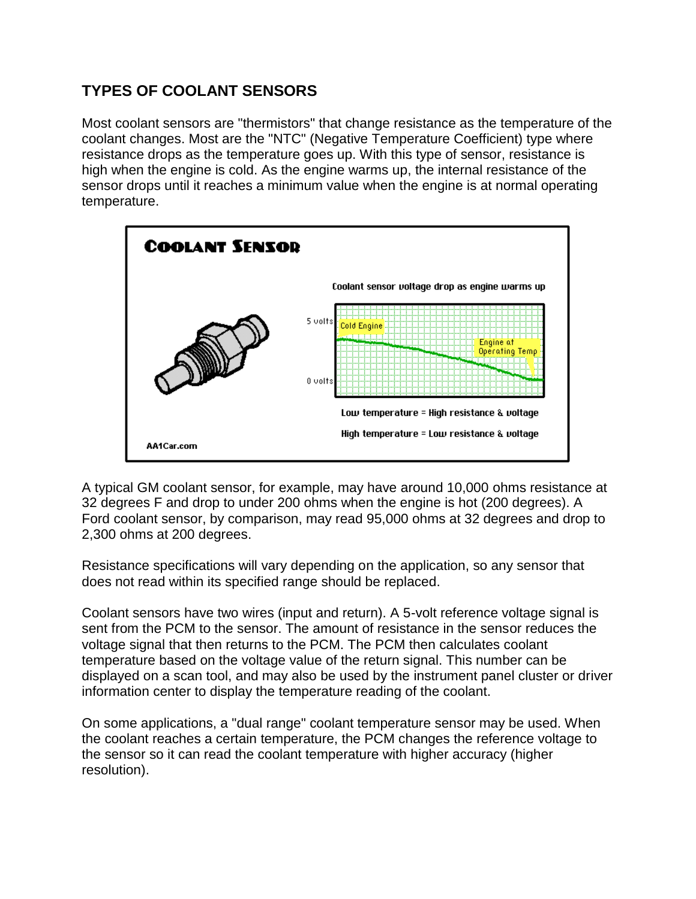### **TYPES OF COOLANT SENSORS**

Most coolant sensors are "thermistors" that change resistance as the temperature of the coolant changes. Most are the "NTC" (Negative Temperature Coefficient) type where resistance drops as the temperature goes up. With this type of sensor, resistance is high when the engine is cold. As the engine warms up, the internal resistance of the sensor drops until it reaches a minimum value when the engine is at normal operating temperature.



A typical GM coolant sensor, for example, may have around 10,000 ohms resistance at 32 degrees F and drop to under 200 ohms when the engine is hot (200 degrees). A Ford coolant sensor, by comparison, may read 95,000 ohms at 32 degrees and drop to 2,300 ohms at 200 degrees.

Resistance specifications will vary depending on the application, so any sensor that does not read within its specified range should be replaced.

Coolant sensors have two wires (input and return). A 5-volt reference voltage signal is sent from the PCM to the sensor. The amount of resistance in the sensor reduces the voltage signal that then returns to the PCM. The PCM then calculates coolant temperature based on the voltage value of the return signal. This number can be displayed on a scan tool, and may also be used by the instrument panel cluster or driver information center to display the temperature reading of the coolant.

On some applications, a "dual range" coolant temperature sensor may be used. When the coolant reaches a certain temperature, the PCM changes the reference voltage to the sensor so it can read the coolant temperature with higher accuracy (higher resolution).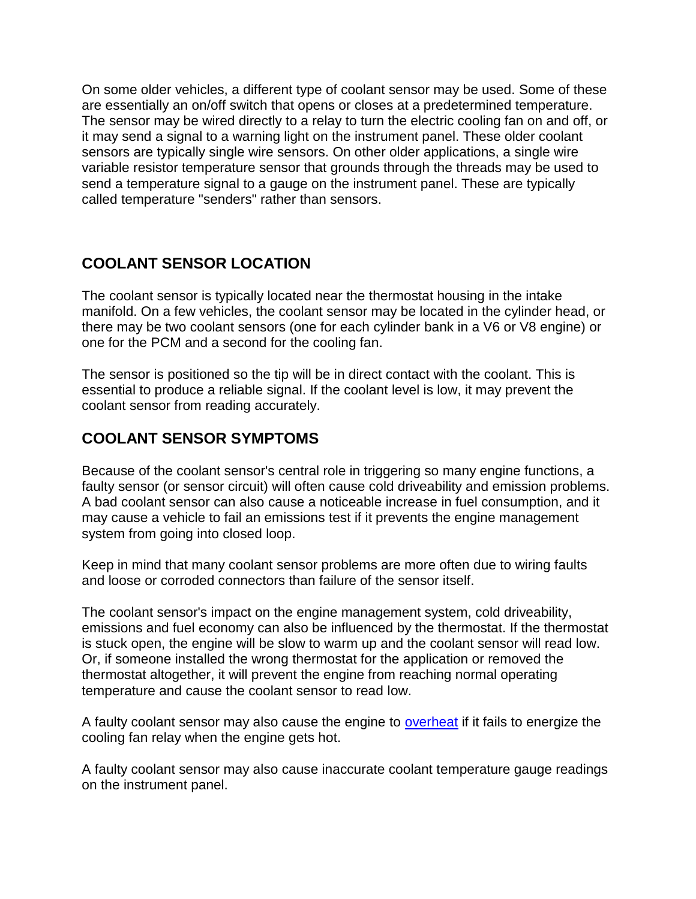On some older vehicles, a different type of coolant sensor may be used. Some of these are essentially an on/off switch that opens or closes at a predetermined temperature. The sensor may be wired directly to a relay to turn the electric cooling fan on and off, or it may send a signal to a warning light on the instrument panel. These older coolant sensors are typically single wire sensors. On other older applications, a single wire variable resistor temperature sensor that grounds through the threads may be used to send a temperature signal to a gauge on the instrument panel. These are typically called temperature "senders" rather than sensors.

#### **COOLANT SENSOR LOCATION**

The coolant sensor is typically located near the thermostat housing in the intake manifold. On a few vehicles, the coolant sensor may be located in the cylinder head, or there may be two coolant sensors (one for each cylinder bank in a V6 or V8 engine) or one for the PCM and a second for the cooling fan.

The sensor is positioned so the tip will be in direct contact with the coolant. This is essential to produce a reliable signal. If the coolant level is low, it may prevent the coolant sensor from reading accurately.

#### **COOLANT SENSOR SYMPTOMS**

Because of the coolant sensor's central role in triggering so many engine functions, a faulty sensor (or sensor circuit) will often cause cold driveability and emission problems. A bad coolant sensor can also cause a noticeable increase in fuel consumption, and it may cause a vehicle to fail an emissions test if it prevents the engine management system from going into closed loop.

Keep in mind that many coolant sensor problems are more often due to wiring faults and loose or corroded connectors than failure of the sensor itself.

The coolant sensor's impact on the engine management system, cold driveability, emissions and fuel economy can also be influenced by the thermostat. If the thermostat is stuck open, the engine will be slow to warm up and the coolant sensor will read low. Or, if someone installed the wrong thermostat for the application or removed the thermostat altogether, it will prevent the engine from reaching normal operating temperature and cause the coolant sensor to read low.

A faulty coolant sensor may also cause the engine to **overheat** if it fails to energize the cooling fan relay when the engine gets hot.

A faulty coolant sensor may also cause inaccurate coolant temperature gauge readings on the instrument panel.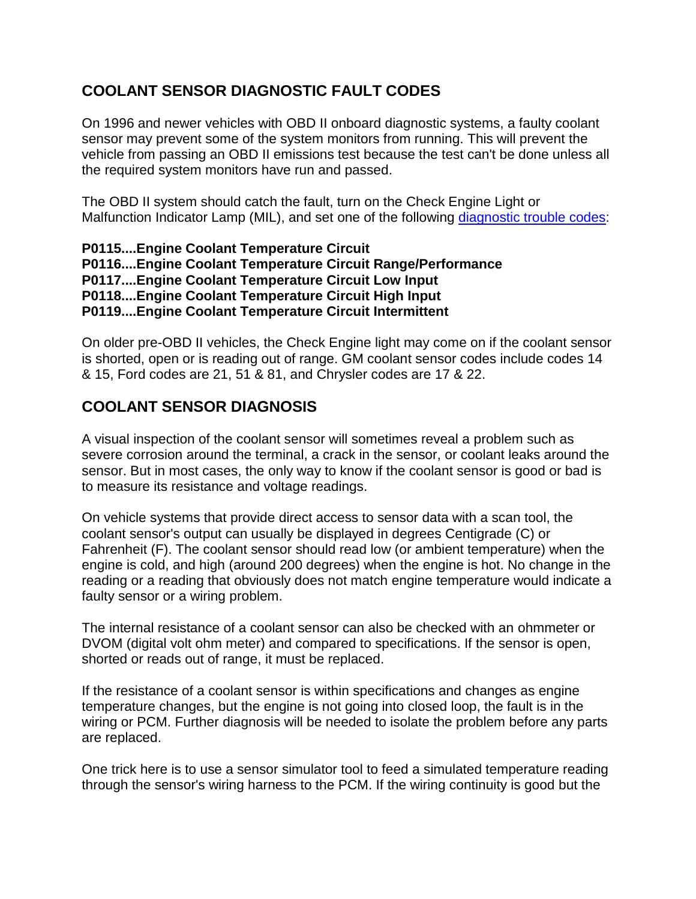#### **COOLANT SENSOR DIAGNOSTIC FAULT CODES**

On 1996 and newer vehicles with OBD II onboard diagnostic systems, a faulty coolant sensor may prevent some of the system monitors from running. This will prevent the vehicle from passing an OBD II emissions test because the test can't be done unless all the required system monitors have run and passed.

The OBD II system should catch the fault, turn on the Check Engine Light or Malfunction Indicator Lamp (MIL), and set one of the following [diagnostic trouble codes:](http://www.trouble-codes.com/)

```
P0115....Engine Coolant Temperature Circuit 
P0116....Engine Coolant Temperature Circuit Range/Performance
P0117....Engine Coolant Temperature Circuit Low Input 
P0118....Engine Coolant Temperature Circuit High Input 
P0119....Engine Coolant Temperature Circuit Intermittent
```
On older pre-OBD II vehicles, the Check Engine light may come on if the coolant sensor is shorted, open or is reading out of range. GM coolant sensor codes include codes 14 & 15, Ford codes are 21, 51 & 81, and Chrysler codes are 17 & 22.

## **COOLANT SENSOR DIAGNOSIS**

A visual inspection of the coolant sensor will sometimes reveal a problem such as severe corrosion around the terminal, a crack in the sensor, or coolant leaks around the sensor. But in most cases, the only way to know if the coolant sensor is good or bad is to measure its resistance and voltage readings.

On vehicle systems that provide direct access to sensor data with a scan tool, the coolant sensor's output can usually be displayed in degrees Centigrade (C) or Fahrenheit (F). The coolant sensor should read low (or ambient temperature) when the engine is cold, and high (around 200 degrees) when the engine is hot. No change in the reading or a reading that obviously does not match engine temperature would indicate a faulty sensor or a wiring problem.

The internal resistance of a coolant sensor can also be checked with an ohmmeter or DVOM (digital volt ohm meter) and compared to specifications. If the sensor is open, shorted or reads out of range, it must be replaced.

If the resistance of a coolant sensor is within specifications and changes as engine temperature changes, but the engine is not going into closed loop, the fault is in the wiring or PCM. Further diagnosis will be needed to isolate the problem before any parts are replaced.

One trick here is to use a sensor simulator tool to feed a simulated temperature reading through the sensor's wiring harness to the PCM. If the wiring continuity is good but the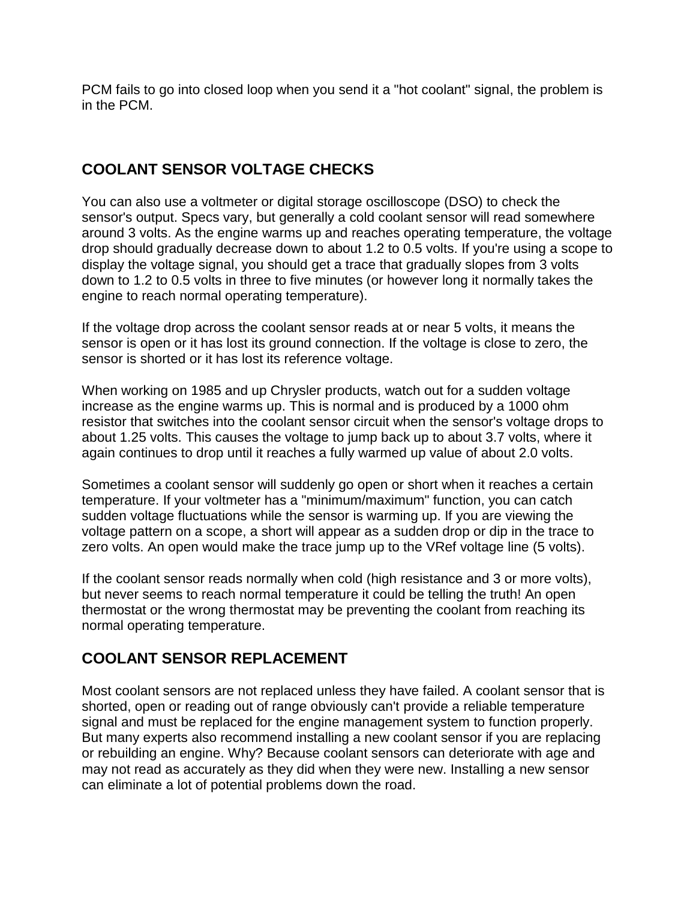PCM fails to go into closed loop when you send it a "hot coolant" signal, the problem is in the PCM.

#### **COOLANT SENSOR VOLTAGE CHECKS**

You can also use a voltmeter or digital storage oscilloscope (DSO) to check the sensor's output. Specs vary, but generally a cold coolant sensor will read somewhere around 3 volts. As the engine warms up and reaches operating temperature, the voltage drop should gradually decrease down to about 1.2 to 0.5 volts. If you're using a scope to display the voltage signal, you should get a trace that gradually slopes from 3 volts down to 1.2 to 0.5 volts in three to five minutes (or however long it normally takes the engine to reach normal operating temperature).

If the voltage drop across the coolant sensor reads at or near 5 volts, it means the sensor is open or it has lost its ground connection. If the voltage is close to zero, the sensor is shorted or it has lost its reference voltage.

When working on 1985 and up Chrysler products, watch out for a sudden voltage increase as the engine warms up. This is normal and is produced by a 1000 ohm resistor that switches into the coolant sensor circuit when the sensor's voltage drops to about 1.25 volts. This causes the voltage to jump back up to about 3.7 volts, where it again continues to drop until it reaches a fully warmed up value of about 2.0 volts.

Sometimes a coolant sensor will suddenly go open or short when it reaches a certain temperature. If your voltmeter has a "minimum/maximum" function, you can catch sudden voltage fluctuations while the sensor is warming up. If you are viewing the voltage pattern on a scope, a short will appear as a sudden drop or dip in the trace to zero volts. An open would make the trace jump up to the VRef voltage line (5 volts).

If the coolant sensor reads normally when cold (high resistance and 3 or more volts), but never seems to reach normal temperature it could be telling the truth! An open thermostat or the wrong thermostat may be preventing the coolant from reaching its normal operating temperature.

#### **COOLANT SENSOR REPLACEMENT**

Most coolant sensors are not replaced unless they have failed. A coolant sensor that is shorted, open or reading out of range obviously can't provide a reliable temperature signal and must be replaced for the engine management system to function properly. But many experts also recommend installing a new coolant sensor if you are replacing or rebuilding an engine. Why? Because coolant sensors can deteriorate with age and may not read as accurately as they did when they were new. Installing a new sensor can eliminate a lot of potential problems down the road.